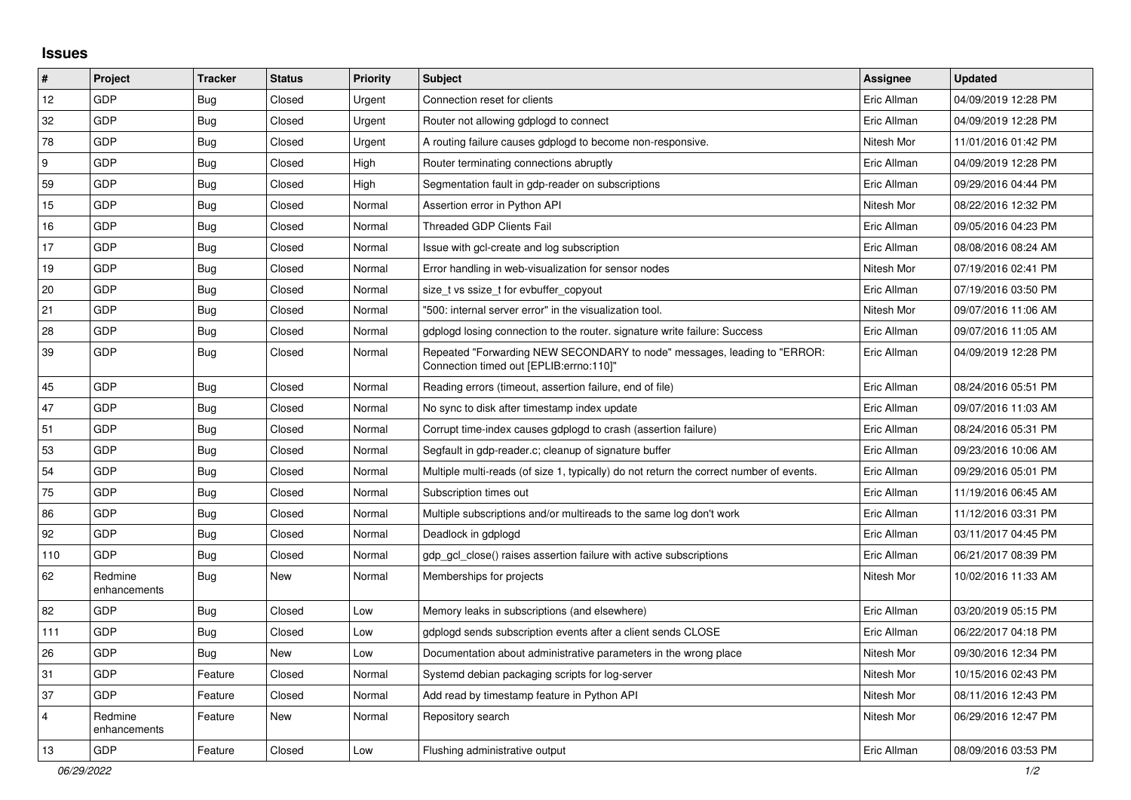## **Issues**

| $\pmb{\sharp}$          | Project                 | <b>Tracker</b> | <b>Status</b> | <b>Priority</b> | <b>Subject</b>                                                                                                      | <b>Assignee</b> | <b>Updated</b>      |
|-------------------------|-------------------------|----------------|---------------|-----------------|---------------------------------------------------------------------------------------------------------------------|-----------------|---------------------|
| 12                      | GDP                     | Bug            | Closed        | Urgent          | Connection reset for clients                                                                                        | Eric Allman     | 04/09/2019 12:28 PM |
| 32                      | GDP                     | <b>Bug</b>     | Closed        | Urgent          | Router not allowing gdplogd to connect                                                                              | Eric Allman     | 04/09/2019 12:28 PM |
| 78                      | GDP                     | <b>Bug</b>     | Closed        | Urgent          | A routing failure causes gdplogd to become non-responsive.                                                          | Nitesh Mor      | 11/01/2016 01:42 PM |
| 9                       | <b>GDP</b>              | Bug            | Closed        | High            | Router terminating connections abruptly                                                                             | Eric Allman     | 04/09/2019 12:28 PM |
| 59                      | GDP                     | <b>Bug</b>     | Closed        | High            | Segmentation fault in gdp-reader on subscriptions                                                                   | Eric Allman     | 09/29/2016 04:44 PM |
| 15                      | GDP                     | <b>Bug</b>     | Closed        | Normal          | Assertion error in Python API                                                                                       | Nitesh Mor      | 08/22/2016 12:32 PM |
| 16                      | GDP                     | <b>Bug</b>     | Closed        | Normal          | <b>Threaded GDP Clients Fail</b>                                                                                    | Eric Allman     | 09/05/2016 04:23 PM |
| 17                      | GDP                     | <b>Bug</b>     | Closed        | Normal          | Issue with gcl-create and log subscription                                                                          | Eric Allman     | 08/08/2016 08:24 AM |
| 19                      | <b>GDP</b>              | Bug            | Closed        | Normal          | Error handling in web-visualization for sensor nodes                                                                | Nitesh Mor      | 07/19/2016 02:41 PM |
| 20                      | GDP                     | <b>Bug</b>     | Closed        | Normal          | size_t vs ssize_t for evbuffer_copyout                                                                              | Eric Allman     | 07/19/2016 03:50 PM |
| 21                      | GDP                     | Bug            | Closed        | Normal          | '500: internal server error" in the visualization tool.                                                             | Nitesh Mor      | 09/07/2016 11:06 AM |
| 28                      | GDP                     | <b>Bug</b>     | Closed        | Normal          | gdplogd losing connection to the router. signature write failure: Success                                           | Eric Allman     | 09/07/2016 11:05 AM |
| 39                      | GDP                     | <b>Bug</b>     | Closed        | Normal          | Repeated "Forwarding NEW SECONDARY to node" messages, leading to "ERROR:<br>Connection timed out [EPLIB:errno:110]" | Eric Allman     | 04/09/2019 12:28 PM |
| 45                      | GDP                     | <b>Bug</b>     | Closed        | Normal          | Reading errors (timeout, assertion failure, end of file)                                                            | Eric Allman     | 08/24/2016 05:51 PM |
| 47                      | GDP                     | <b>Bug</b>     | Closed        | Normal          | No sync to disk after timestamp index update                                                                        | Eric Allman     | 09/07/2016 11:03 AM |
| 51                      | GDP                     | <b>Bug</b>     | Closed        | Normal          | Corrupt time-index causes gdplogd to crash (assertion failure)                                                      | Eric Allman     | 08/24/2016 05:31 PM |
| 53                      | <b>GDP</b>              | <b>Bug</b>     | Closed        | Normal          | Segfault in gdp-reader.c; cleanup of signature buffer                                                               | Eric Allman     | 09/23/2016 10:06 AM |
| 54                      | GDP                     | <b>Bug</b>     | Closed        | Normal          | Multiple multi-reads (of size 1, typically) do not return the correct number of events.                             | Eric Allman     | 09/29/2016 05:01 PM |
| 75                      | GDP                     | Bug            | Closed        | Normal          | Subscription times out                                                                                              | Eric Allman     | 11/19/2016 06:45 AM |
| 86                      | GDP                     | <b>Bug</b>     | Closed        | Normal          | Multiple subscriptions and/or multireads to the same log don't work                                                 | Eric Allman     | 11/12/2016 03:31 PM |
| 92                      | GDP                     | <b>Bug</b>     | Closed        | Normal          | Deadlock in gdplogd                                                                                                 | Eric Allman     | 03/11/2017 04:45 PM |
| 110                     | GDP                     | <b>Bug</b>     | Closed        | Normal          | gdp_gcl_close() raises assertion failure with active subscriptions                                                  | Eric Allman     | 06/21/2017 08:39 PM |
| 62                      | Redmine<br>enhancements | <b>Bug</b>     | New           | Normal          | Memberships for projects                                                                                            | Nitesh Mor      | 10/02/2016 11:33 AM |
| 82                      | GDP                     | <b>Bug</b>     | Closed        | Low             | Memory leaks in subscriptions (and elsewhere)                                                                       | Eric Allman     | 03/20/2019 05:15 PM |
| 111                     | <b>GDP</b>              | <b>Bug</b>     | Closed        | Low             | gdplogd sends subscription events after a client sends CLOSE                                                        | Eric Allman     | 06/22/2017 04:18 PM |
| 26                      | <b>GDP</b>              | <b>Bug</b>     | New           | Low             | Documentation about administrative parameters in the wrong place                                                    | Nitesh Mor      | 09/30/2016 12:34 PM |
| 31                      | GDP                     | Feature        | Closed        | Normal          | Systemd debian packaging scripts for log-server                                                                     | Nitesh Mor      | 10/15/2016 02:43 PM |
| 37                      | GDP                     | Feature        | Closed        | Normal          | Add read by timestamp feature in Python API                                                                         | Nitesh Mor      | 08/11/2016 12:43 PM |
| $\overline{\mathbf{4}}$ | Redmine<br>enhancements | Feature        | New           | Normal          | Repository search                                                                                                   | Nitesh Mor      | 06/29/2016 12:47 PM |
| 13                      | GDP                     | Feature        | Closed        | Low             | Flushing administrative output                                                                                      | Eric Allman     | 08/09/2016 03:53 PM |